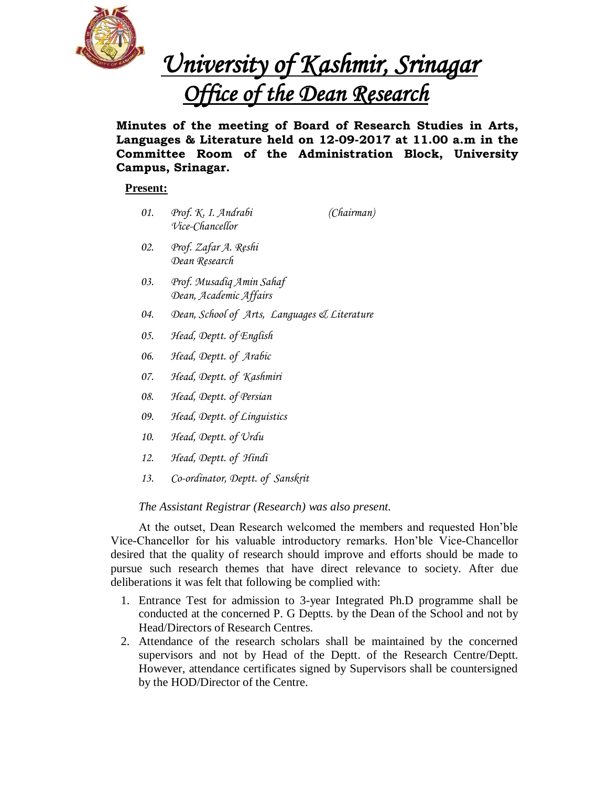

*University of Kashmir, Srinagar Office of the Dean Research* 

**Minutes of the meeting of Board of Research Studies in Arts, Languages & Literature held on 12-09-2017 at 11.00 a.m in the Committee Room of the Administration Block, University Campus, Srinagar.**

# **Present:**

- *01. Prof. K. I. Andrabi (Chairman) Vice-Chancellor*
- *02. Prof. Zafar A. Reshi Dean Research*
- *03. Prof. Musadiq Amin Sahaf Dean, Academic Affairs*
- *04. Dean, School of Arts, Languages & Literature*
- *05. Head, Deptt. of English*
- *06. Head, Deptt. of Arabic*
- *07. Head, Deptt. of Kashmiri*
- *08. Head, Deptt. of Persian*
- *09. Head, Deptt. of Linguistics*
- *10. Head, Deptt. of Urdu*
- *12. Head, Deptt. of Hindi*
- *13. Co-ordinator, Deptt. of Sanskrit*

# *The Assistant Registrar (Research) was also present.*

At the outset, Dean Research welcomed the members and requested Hon'ble Vice-Chancellor for his valuable introductory remarks. Hon'ble Vice-Chancellor desired that the quality of research should improve and efforts should be made to pursue such research themes that have direct relevance to society. After due deliberations it was felt that following be complied with:

- 1. Entrance Test for admission to 3-year Integrated Ph.D programme shall be conducted at the concerned P. G Deptts. by the Dean of the School and not by Head/Directors of Research Centres.
- 2. Attendance of the research scholars shall be maintained by the concerned supervisors and not by Head of the Deptt. of the Research Centre/Deptt. However, attendance certificates signed by Supervisors shall be countersigned by the HOD/Director of the Centre.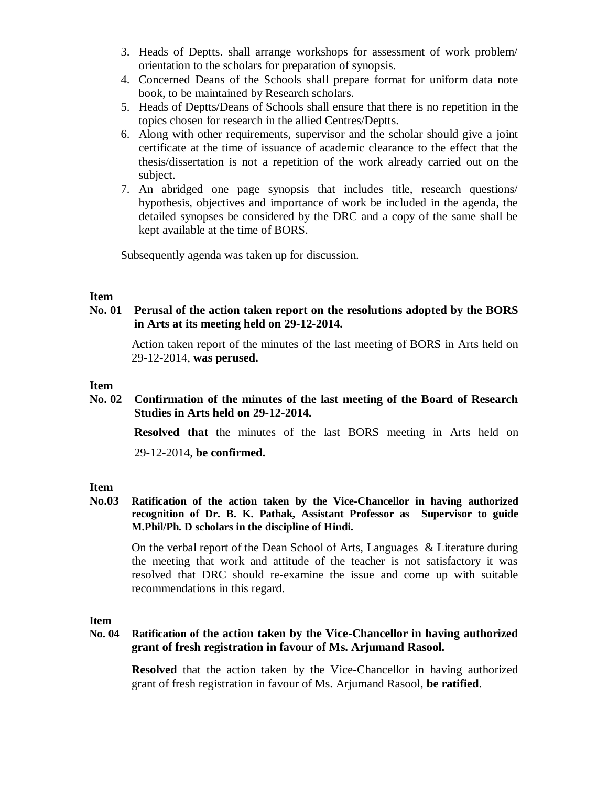- 3. Heads of Deptts. shall arrange workshops for assessment of work problem/ orientation to the scholars for preparation of synopsis.
- 4. Concerned Deans of the Schools shall prepare format for uniform data note book, to be maintained by Research scholars.
- 5. Heads of Deptts/Deans of Schools shall ensure that there is no repetition in the topics chosen for research in the allied Centres/Deptts.
- 6. Along with other requirements, supervisor and the scholar should give a joint certificate at the time of issuance of academic clearance to the effect that the thesis/dissertation is not a repetition of the work already carried out on the subject.
- 7. An abridged one page synopsis that includes title, research questions/ hypothesis, objectives and importance of work be included in the agenda, the detailed synopses be considered by the DRC and a copy of the same shall be kept available at the time of BORS.

Subsequently agenda was taken up for discussion.

## **Item**

## **No. 01 Perusal of the action taken report on the resolutions adopted by the BORS in Arts at its meeting held on 29-12-2014.**

Action taken report of the minutes of the last meeting of BORS in Arts held on 29-12-2014, **was perused.**

## **Item**

**No. 02 Confirmation of the minutes of the last meeting of the Board of Research Studies in Arts held on 29-12-2014.**

**Resolved that** the minutes of the last BORS meeting in Arts held on

29-12-2014, **be confirmed.**

# **Item**

**No.03 Ratification of the action taken by the Vice-Chancellor in having authorized recognition of Dr. B. K. Pathak, Assistant Professor as Supervisor to guide M.Phil/Ph. D scholars in the discipline of Hindi.**

On the verbal report of the Dean School of Arts, Languages & Literature during the meeting that work and attitude of the teacher is not satisfactory it was resolved that DRC should re-examine the issue and come up with suitable recommendations in this regard.

**Item**

# **No. 04 Ratification of the action taken by the Vice-Chancellor in having authorized grant of fresh registration in favour of Ms. Arjumand Rasool.**

**Resolved** that the action taken by the Vice-Chancellor in having authorized grant of fresh registration in favour of Ms. Arjumand Rasool, **be ratified**.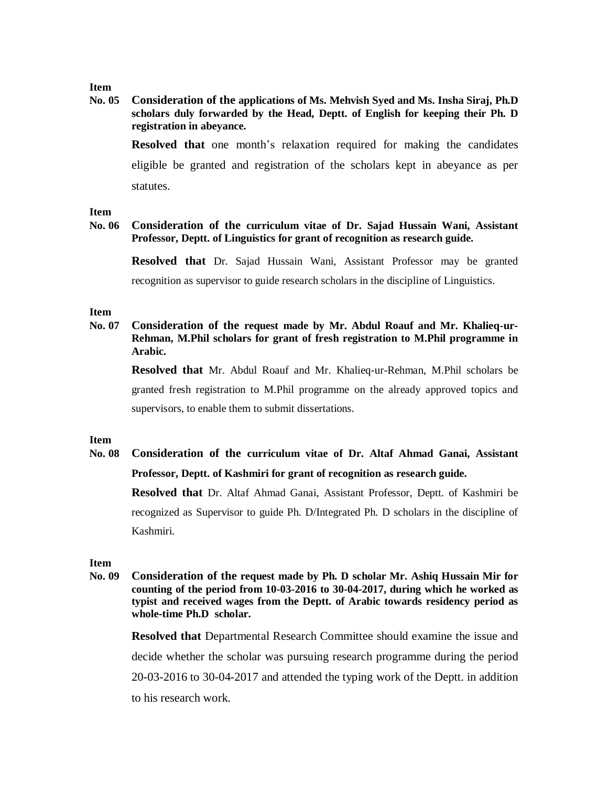### **Item**

**No. 05 Consideration of the applications of Ms. Mehvish Syed and Ms. Insha Siraj, Ph.D scholars duly forwarded by the Head, Deptt. of English for keeping their Ph. D registration in abeyance.**

**Resolved that** one month's relaxation required for making the candidates eligible be granted and registration of the scholars kept in abeyance as per statutes.

#### **Item**

### **No. 06 Consideration of the curriculum vitae of Dr. Sajad Hussain Wani, Assistant Professor, Deptt. of Linguistics for grant of recognition as research guide.**

**Resolved that** Dr. Sajad Hussain Wani, Assistant Professor may be granted recognition as supervisor to guide research scholars in the discipline of Linguistics.

#### **Item**

**No. 07 Consideration of the request made by Mr. Abdul Roauf and Mr. Khalieq-ur-Rehman, M.Phil scholars for grant of fresh registration to M.Phil programme in Arabic.**

**Resolved that** Mr. Abdul Roauf and Mr. Khalieq-ur-Rehman, M.Phil scholars be granted fresh registration to M.Phil programme on the already approved topics and supervisors, to enable them to submit dissertations.

#### **Item**

# **No. 08 Consideration of the curriculum vitae of Dr. Altaf Ahmad Ganai, Assistant Professor, Deptt. of Kashmiri for grant of recognition as research guide.**

**Resolved that** Dr. Altaf Ahmad Ganai, Assistant Professor, Deptt. of Kashmiri be recognized as Supervisor to guide Ph. D/Integrated Ph. D scholars in the discipline of Kashmiri.

#### **Item**

**No. 09 Consideration of the request made by Ph. D scholar Mr. Ashiq Hussain Mir for counting of the period from 10-03-2016 to 30-04-2017, during which he worked as typist and received wages from the Deptt. of Arabic towards residency period as whole-time Ph.D scholar.**

**Resolved that** Departmental Research Committee should examine the issue and decide whether the scholar was pursuing research programme during the period 20-03-2016 to 30-04-2017 and attended the typing work of the Deptt. in addition to his research work.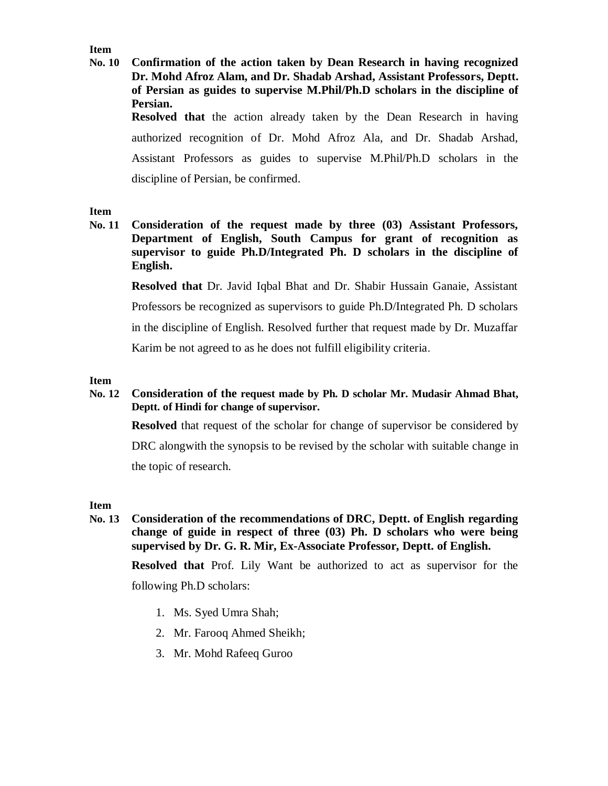**Item**

**No. 10 Confirmation of the action taken by Dean Research in having recognized Dr. Mohd Afroz Alam, and Dr. Shadab Arshad, Assistant Professors, Deptt. of Persian as guides to supervise M.Phil/Ph.D scholars in the discipline of Persian. Resolved that** the action already taken by the Dean Research in having authorized recognition of Dr. Mohd Afroz Ala, and Dr. Shadab Arshad, Assistant Professors as guides to supervise M.Phil/Ph.D scholars in the discipline of Persian, be confirmed.

## **Item**

**No. 11 Consideration of the request made by three (03) Assistant Professors, Department of English, South Campus for grant of recognition as supervisor to guide Ph.D/Integrated Ph. D scholars in the discipline of English.**

**Resolved that** Dr. Javid Iqbal Bhat and Dr. Shabir Hussain Ganaie, Assistant Professors be recognized as supervisors to guide Ph.D/Integrated Ph. D scholars in the discipline of English. Resolved further that request made by Dr. Muzaffar Karim be not agreed to as he does not fulfill eligibility criteria.

## **Item**

**No. 12 Consideration of the request made by Ph. D scholar Mr. Mudasir Ahmad Bhat, Deptt. of Hindi for change of supervisor.**

**Resolved** that request of the scholar for change of supervisor be considered by DRC alongwith the synopsis to be revised by the scholar with suitable change in the topic of research.

## **Item**

**No. 13 Consideration of the recommendations of DRC, Deptt. of English regarding change of guide in respect of three (03) Ph. D scholars who were being supervised by Dr. G. R. Mir, Ex-Associate Professor, Deptt. of English.**

**Resolved that** Prof. Lily Want be authorized to act as supervisor for the following Ph.D scholars:

- 1. Ms. Syed Umra Shah;
- 2. Mr. Farooq Ahmed Sheikh;
- 3. Mr. Mohd Rafeeq Guroo